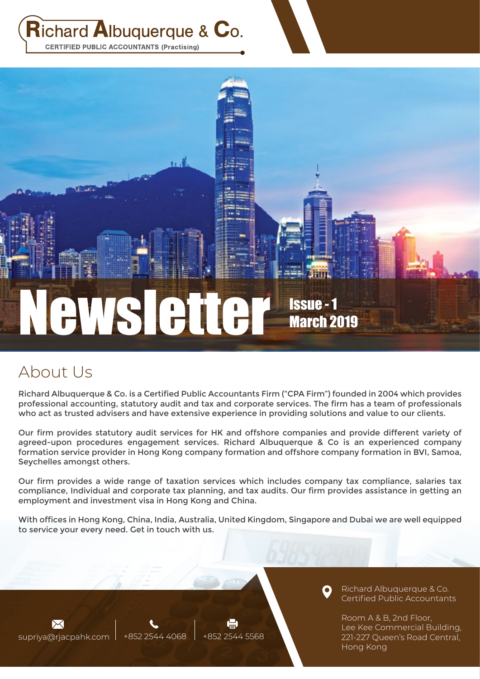$\mathsf{Richard}$  Albuquerque &  $\mathsf{C}_0$ . **CERTIFIED PUBLIC ACCOUNTANTS (Practising)** 

# Newsletter Issue - 1 March 2019

n d

## About Us

**FOREST** 

Richard Albuquerque & Co. is a Certified Public Accountants Firm ("CPA Firm") founded in 2004 which provides professional accounting, statutory audit and tax and corporate services. The firm has a team of professionals who act as trusted advisers and have extensive experience in providing solutions and value to our clients.

Our firm provides statutory audit services for HK and offshore companies and provide different variety of agreed-upon procedures engagement services. Richard Albuquerque & Co is an experienced company formation service provider in Hong Kong company formation and offshore company formation in BVI, Samoa, Seychelles amongst others.

Our firm provides a wide range of taxation services which includes company tax compliance, salaries tax compliance, Individual and corporate tax planning, and tax audits. Our firm provides assistance in getting an employment and investment visa in Hong Kong and China.

With offices in Hong Kong, China, India, Australia, United Kingdom, Singapore and Dubai we are well equipped to service your every need. Get in touch with us.

supriya@rjacpahk.com | +852 2544 4068 | +852 2544 5568

Richard Albuquerque & Co. Certified Public Accountants

Room A & B, 2nd Floor, Lee Kee Commercial Building, 221-227 Queen's Road Central, Hong Kong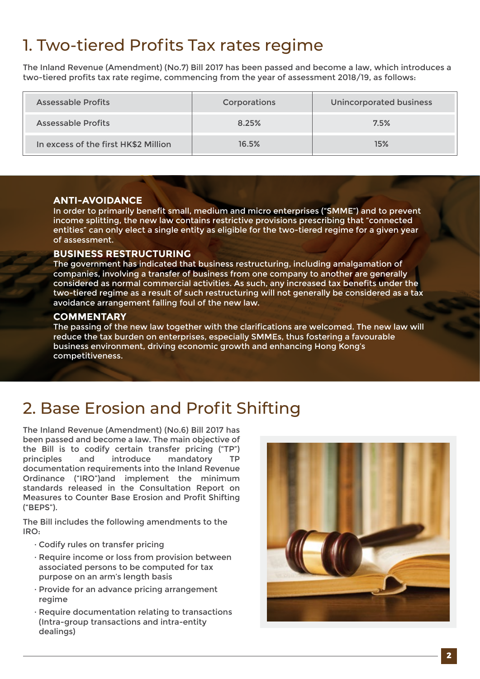# 1. Two-tiered Profits Tax rates regime

The Inland Revenue (Amendment) (No.7) Bill 2017 has been passed and become a law, which introduces a two-tiered profits tax rate regime, commencing from the year of assessment 2018/19, as follows:

| Assessable Profits                   | Corporations | <b>Unincorporated business</b> |  |
|--------------------------------------|--------------|--------------------------------|--|
| Assessable Profits                   | 8.25%        | 7.5%                           |  |
| In excess of the first HK\$2 Million | 16.5%        | 15%                            |  |

#### **ANTI-AVOIDANCE**

In order to primarily benefit small, medium and micro enterprises ("SMME") and to prevent income splitting, the new law contains restrictive provisions prescribing that "connected entities" can only elect a single entity as eligible for the two-tiered regime for a given year of assessment.

#### **BUSINESS RESTRUCTURING**

The government has indicated that business restructuring, including amalgamation of companies, involving a transfer of business from one company to another are generally considered as normal commercial activities. As such, any increased tax benefits under the two-tiered regime as a result of such restructuring will not generally be considered as a tax avoidance arrangement falling foul of the new law.

#### **COMMENTARY**

The passing of the new law together with the clarifications are welcomed. The new law will reduce the tax burden on enterprises, especially SMMEs, thus fostering a favourable business environment, driving economic growth and enhancing Hong Kong's competitiveness.

### 2. Base Erosion and Profit Shifting

The Inland Revenue (Amendment) (No.6) Bill 2017 has been passed and become a law. The main objective of the Bill is to codify certain transfer pricing ("TP") principles and introduce mandatory TP documentation requirements into the Inland Revenue Ordinance ("IRO")and implement the minimum standards released in the Consultation Report on Measures to Counter Base Erosion and Profit Shifting ("BEPS").

The Bill includes the following amendments to the IRO:

- · Codify rules on transfer pricing
- · Require income or loss from provision between associated persons to be computed for tax purpose on an arm's length basis
- · Provide for an advance pricing arrangement regime
- · Require documentation relating to transactions (Intra-group transactions and intra-entity dealings)

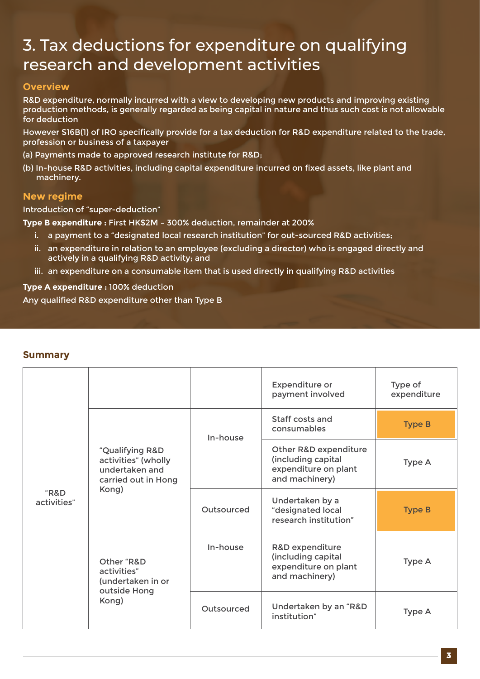## 3. Tax deductions for expenditure on qualifying research and development activities

#### **Overview**

R&D expenditure, normally incurred with a view to developing new products and improving existing production methods, is generally regarded as being capital in nature and thus such cost is not allowable for deduction

However S16B(1) of IRO specifically provide for a tax deduction for R&D expenditure related to the trade, profession or business of a taxpayer

(a) Payments made to approved research institute for R&D;

(b) In-house R&D activities, including capital expenditure incurred on fixed assets, like plant and machinery.

#### **New regime**

Introduction of "super-deduction"

**Type B expenditure :** First HK\$2M – 300% deduction, remainder at 200%

- i. a payment to a "designated local research institution" for out-sourced R&D activities;
- ii. an expenditure in relation to an employee (excluding a director) who is engaged directly and actively in a qualifying R&D activity; and
- iii. an expenditure on a consumable item that is used directly in qualifying R&D activities

**Type A expenditure :** 100% deduction Any qualified R&D expenditure other than Type B

| <b>Summary</b> |  |
|----------------|--|
|                |  |

| "R&D<br>activities" |                                                                                          |            | <b>Expenditure or</b><br>payment involved                                             | Type of<br>expenditure |
|---------------------|------------------------------------------------------------------------------------------|------------|---------------------------------------------------------------------------------------|------------------------|
|                     | "Qualifying R&D<br>activities" (wholly<br>undertaken and<br>carried out in Hong<br>Kong) | In-house   | Staff costs and<br>consumables                                                        | <b>Type B</b>          |
|                     |                                                                                          |            | Other R&D expenditure<br>(including capital<br>expenditure on plant<br>and machinery) | Type A                 |
|                     |                                                                                          | Outsourced | Undertaken by a<br>"designated local<br>research institution"                         | <b>Type B</b>          |
|                     | Other "R&D<br>activities"<br>(undertaken in or<br>outside Hong<br>Kong)                  | In-house   | R&D expenditure<br>(including capital<br>expenditure on plant<br>and machinery)       | Type A                 |
|                     |                                                                                          | Outsourced | Undertaken by an "R&D<br>institution"                                                 | <b>Type A</b>          |